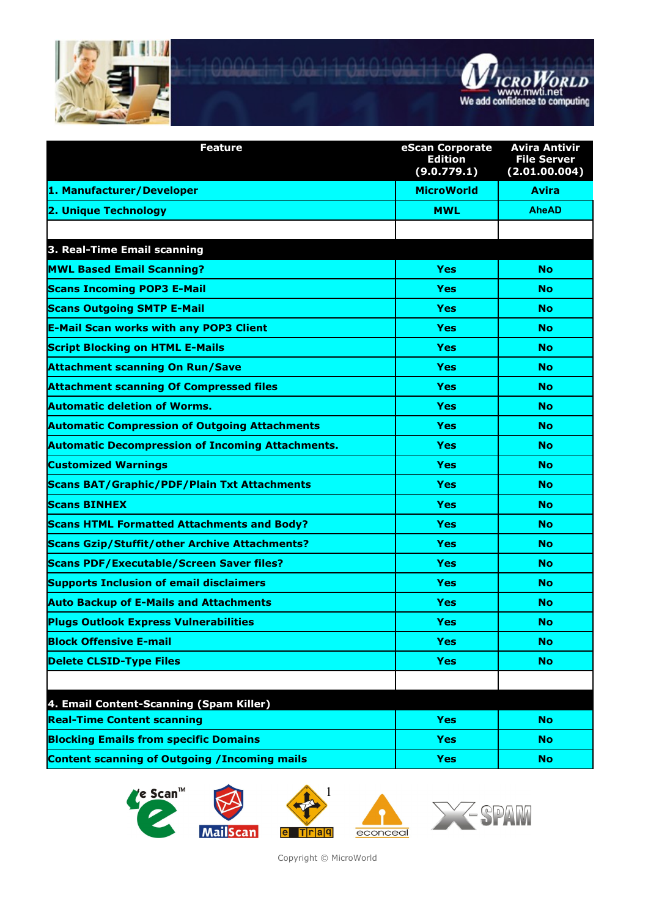



| <b>Feature</b>                                          | eScan Corporate<br><b>Edition</b><br>(9.0.779.1) | Avira Antivir<br><b>File Server</b><br>(2.01.00.004) |
|---------------------------------------------------------|--------------------------------------------------|------------------------------------------------------|
| 1. Manufacturer/Developer                               | <b>MicroWorld</b>                                | <b>Avira</b>                                         |
| 2. Unique Technology                                    | <b>MWL</b>                                       | <b>AheAD</b>                                         |
|                                                         |                                                  |                                                      |
| 3. Real-Time Email scanning                             |                                                  |                                                      |
| <b>MWL Based Email Scanning?</b>                        | <b>Yes</b>                                       | <b>No</b>                                            |
| <b>Scans Incoming POP3 E-Mail</b>                       | <b>Yes</b>                                       | <b>No</b>                                            |
| <b>Scans Outgoing SMTP E-Mail</b>                       | <b>Yes</b>                                       | <b>No</b>                                            |
| <b>E-Mail Scan works with any POP3 Client</b>           | Yes                                              | <b>No</b>                                            |
| <b>Script Blocking on HTML E-Mails</b>                  | <b>Yes</b>                                       | <b>No</b>                                            |
| <b>Attachment scanning On Run/Save</b>                  | Yes                                              | <b>No</b>                                            |
| <b>Attachment scanning Of Compressed files</b>          | <b>Yes</b>                                       | <b>No</b>                                            |
| <b>Automatic deletion of Worms.</b>                     | <b>Yes</b>                                       | <b>No</b>                                            |
| <b>Automatic Compression of Outgoing Attachments</b>    | <b>Yes</b>                                       | <b>No</b>                                            |
| <b>Automatic Decompression of Incoming Attachments.</b> | <b>Yes</b>                                       | <b>No</b>                                            |
| <b>Customized Warnings</b>                              | <b>Yes</b>                                       | <b>No</b>                                            |
| <b>Scans BAT/Graphic/PDF/Plain Txt Attachments</b>      | <b>Yes</b>                                       | <b>No</b>                                            |
| <b>Scans BINHEX</b>                                     | <b>Yes</b>                                       | <b>No</b>                                            |
| <b>Scans HTML Formatted Attachments and Body?</b>       | <b>Yes</b>                                       | <b>No</b>                                            |
| <b>Scans Gzip/Stuffit/other Archive Attachments?</b>    | <b>Yes</b>                                       | <b>No</b>                                            |
| <b>Scans PDF/Executable/Screen Saver files?</b>         | <b>Yes</b>                                       | <b>No</b>                                            |
| <b>Supports Inclusion of email disclaimers</b>          | <b>Yes</b>                                       | <b>No</b>                                            |
| <b>Auto Backup of E-Mails and Attachments</b>           | Yes                                              | No                                                   |
| <b>Plugs Outlook Express Vulnerabilities</b>            | Yes                                              | No                                                   |
| <b>Block Offensive E-mail</b>                           | <b>Yes</b>                                       | <b>No</b>                                            |
| <b>Delete CLSID-Type Files</b>                          | <b>Yes</b>                                       | <b>No</b>                                            |
|                                                         |                                                  |                                                      |
| 4. Email Content-Scanning (Spam Killer)                 |                                                  |                                                      |
| <b>Real-Time Content scanning</b>                       | <b>Yes</b>                                       | <b>No</b>                                            |
| <b>Blocking Emails from specific Domains</b>            | <b>Yes</b>                                       | <b>No</b>                                            |
| <b>Content scanning of Outgoing / Incoming mails</b>    | <b>Yes</b>                                       | <b>No</b>                                            |







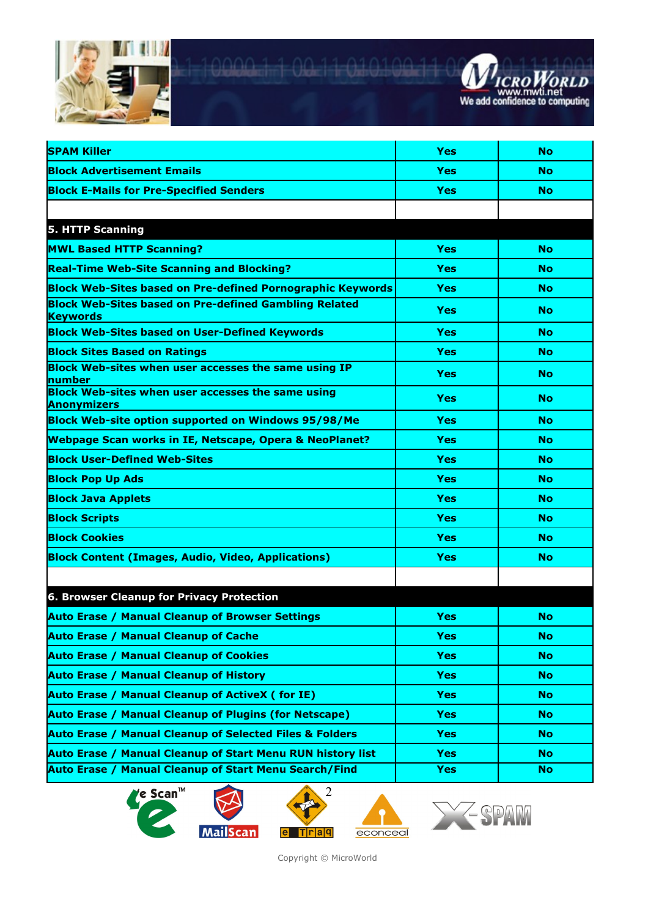



| <b>SPAM Killer</b>                                                              | <b>Yes</b> | <b>No</b> |
|---------------------------------------------------------------------------------|------------|-----------|
| <b>Block Advertisement Emails</b>                                               | <b>Yes</b> | <b>No</b> |
| <b>Block E-Mails for Pre-Specified Senders</b>                                  | <b>Yes</b> | <b>No</b> |
|                                                                                 |            |           |
| <b>5. HTTP Scanning</b>                                                         |            |           |
| <b>MWL Based HTTP Scanning?</b>                                                 | <b>Yes</b> | <b>No</b> |
| <b>Real-Time Web-Site Scanning and Blocking?</b>                                | <b>Yes</b> | <b>No</b> |
| <b>Block Web-Sites based on Pre-defined Pornographic Keywords</b>               | <b>Yes</b> | <b>No</b> |
| <b>Block Web-Sites based on Pre-defined Gambling Related</b><br><b>Keywords</b> | <b>Yes</b> | <b>No</b> |
| <b>Block Web-Sites based on User-Defined Keywords</b>                           | <b>Yes</b> | <b>No</b> |
| <b>Block Sites Based on Ratings</b>                                             | <b>Yes</b> | <b>No</b> |
| Block Web-sites when user accesses the same using IP<br><b>number</b>           | <b>Yes</b> | <b>No</b> |
| Block Web-sites when user accesses the same using<br><b>Anonymizers</b>         | <b>Yes</b> | <b>No</b> |
| <b>Block Web-site option supported on Windows 95/98/Me</b>                      | <b>Yes</b> | <b>No</b> |
| <b>Webpage Scan works in IE, Netscape, Opera &amp; NeoPlanet?</b>               | <b>Yes</b> | <b>No</b> |
| <b>Block User-Defined Web-Sites</b>                                             | <b>Yes</b> | <b>No</b> |
| <b>Block Pop Up Ads</b>                                                         | <b>Yes</b> | <b>No</b> |
| <b>Block Java Applets</b>                                                       | <b>Yes</b> | <b>No</b> |
| <b>Block Scripts</b>                                                            | <b>Yes</b> | <b>No</b> |
| <b>Block Cookies</b>                                                            | <b>Yes</b> | <b>No</b> |
| <b>Block Content (Images, Audio, Video, Applications)</b>                       | <b>Yes</b> | <b>No</b> |
|                                                                                 |            |           |
| 6. Browser Cleanup for Privacy Protection                                       |            |           |
| <b>Auto Erase / Manual Cleanup of Browser Settings</b>                          | <b>Yes</b> | <b>No</b> |
| <b>Auto Erase / Manual Cleanup of Cache</b>                                     | <b>Yes</b> | <b>No</b> |
| <b>Auto Erase / Manual Cleanup of Cookies</b>                                   | <b>Yes</b> | <b>No</b> |
| <b>Auto Erase / Manual Cleanup of History</b>                                   | <b>Yes</b> | No.       |
| <b>Auto Erase / Manual Cleanup of ActiveX (for IE)</b>                          | <b>Yes</b> | <b>No</b> |
| <b>Auto Erase / Manual Cleanup of Plugins (for Netscape)</b>                    | <b>Yes</b> | No.       |
| <b>Auto Erase / Manual Cleanup of Selected Files &amp; Folders</b>              | <b>Yes</b> | <b>No</b> |
| Auto Erase / Manual Cleanup of Start Menu RUN history list                      | <b>Yes</b> | No.       |
| <b>Auto Erase / Manual Cleanup of Start Menu Search/Find</b>                    | <b>Yes</b> | <b>No</b> |









2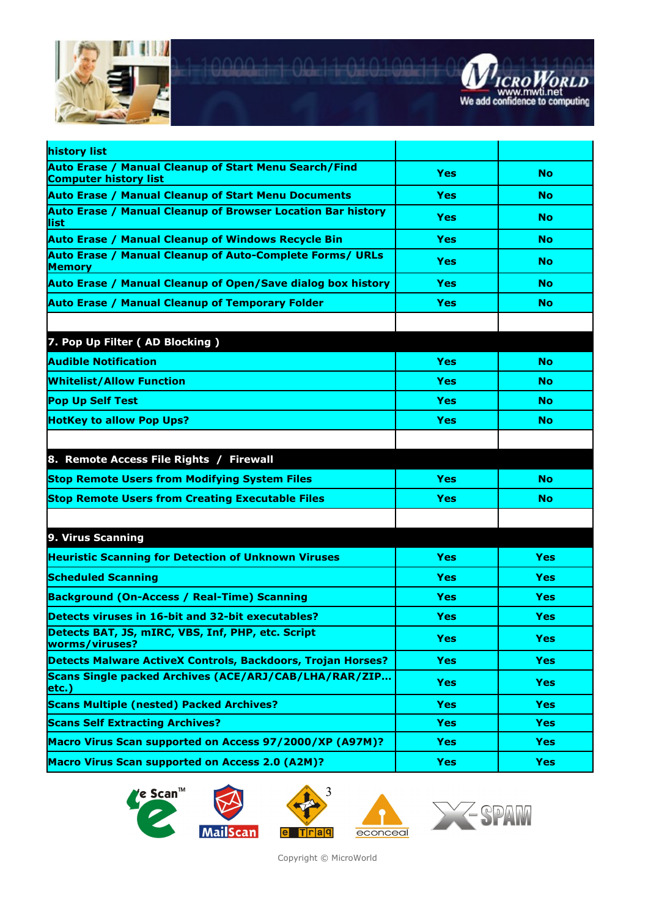



| history list                                                                          |            |            |
|---------------------------------------------------------------------------------------|------------|------------|
| Auto Erase / Manual Cleanup of Start Menu Search/Find<br><b>Computer history list</b> | Yes        | <b>No</b>  |
| <b>Auto Erase / Manual Cleanup of Start Menu Documents</b>                            | Yes        | <b>No</b>  |
| <b>Auto Erase / Manual Cleanup of Browser Location Bar history</b><br>llist           | Yes        | <b>No</b>  |
| <b>Auto Erase / Manual Cleanup of Windows Recycle Bin</b>                             | Yes        | <b>No</b>  |
| <b>Auto Erase / Manual Cleanup of Auto-Complete Forms/ URLs</b><br><b>Memory</b>      | Yes        | <b>No</b>  |
| Auto Erase / Manual Cleanup of Open/Save dialog box history                           | Yes        | <b>No</b>  |
| <b>Auto Erase / Manual Cleanup of Temporary Folder</b>                                | Yes        | <b>No</b>  |
|                                                                                       |            |            |
| 7. Pop Up Filter (AD Blocking)                                                        |            |            |
| <b>Audible Notification</b>                                                           | <b>Yes</b> | <b>No</b>  |
| <b>Whitelist/Allow Function</b>                                                       | Yes        | <b>No</b>  |
| <b>Pop Up Self Test</b>                                                               | Yes        | <b>No</b>  |
| <b>HotKey to allow Pop Ups?</b>                                                       | Yes        | <b>No</b>  |
|                                                                                       |            |            |
| 8. Remote Access File Rights / Firewall                                               |            |            |
| <b>Stop Remote Users from Modifying System Files</b>                                  | <b>Yes</b> | <b>No</b>  |
| <b>Stop Remote Users from Creating Executable Files</b>                               | Yes        | <b>No</b>  |
|                                                                                       |            |            |
| 9. Virus Scanning                                                                     |            |            |
| <b>Heuristic Scanning for Detection of Unknown Viruses</b>                            | <b>Yes</b> | <b>Yes</b> |
| <b>Scheduled Scanning</b>                                                             | Yes        | Yes        |
| <b>Background (On-Access / Real-Time) Scanning</b>                                    | Yes        | <b>Yes</b> |
| Detects viruses in 16-bit and 32-bit executables?                                     | Yes        | Yes        |
| Detects BAT, JS, mIRC, VBS, Inf, PHP, etc. Script<br>worms/viruses?                   | <b>Yes</b> | <b>Yes</b> |
| Detects Malware ActiveX Controls, Backdoors, Trojan Horses?                           | <b>Yes</b> | <b>Yes</b> |
| Scans Single packed Archives (ACE/ARJ/CAB/LHA/RAR/ZIP<br>$ $ etc.)                    | <b>Yes</b> | <b>Yes</b> |
| <b>Scans Multiple (nested) Packed Archives?</b>                                       | <b>Yes</b> | <b>Yes</b> |
| <b>Scans Self Extracting Archives?</b>                                                | <b>Yes</b> | <b>Yes</b> |
| Macro Virus Scan supported on Access 97/2000/XP (A97M)?                               | <b>Yes</b> | <b>Yes</b> |
| <b>Macro Virus Scan supported on Access 2.0 (A2M)?</b>                                | <b>Yes</b> | <b>Yes</b> |







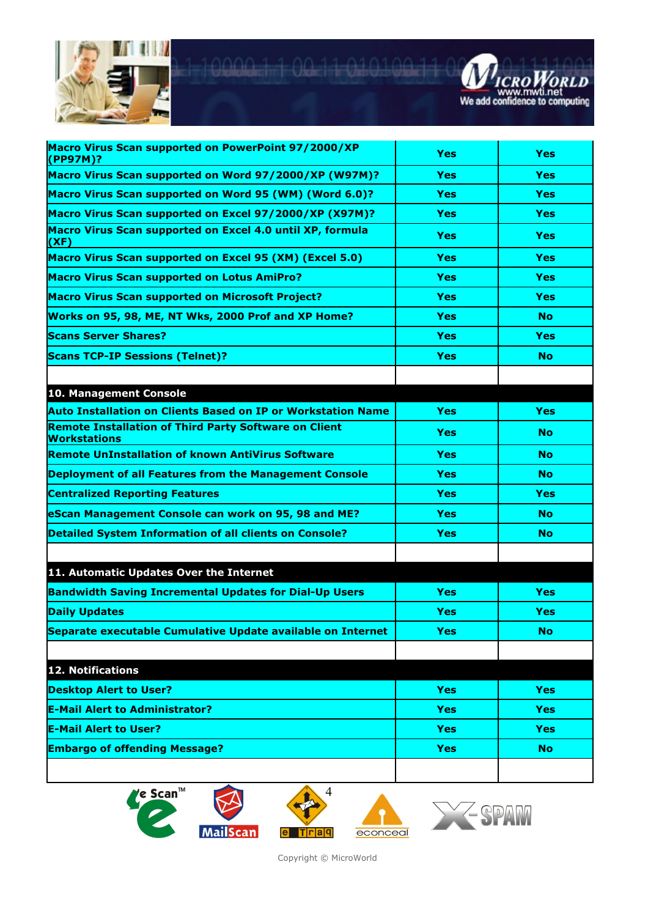



| Macro Virus Scan supported on PowerPoint 97/2000/XP<br>(PP97M)?              | Yes        | <b>Yes</b> |
|------------------------------------------------------------------------------|------------|------------|
| Macro Virus Scan supported on Word 97/2000/XP (W97M)?                        | <b>Yes</b> | <b>Yes</b> |
| Macro Virus Scan supported on Word 95 (WM) (Word 6.0)?                       | Yes        | <b>Yes</b> |
| Macro Virus Scan supported on Excel 97/2000/XP (X97M)?                       | <b>Yes</b> | <b>Yes</b> |
| Macro Virus Scan supported on Excel 4.0 until XP, formula<br>(XF)            | <b>Yes</b> | <b>Yes</b> |
| Macro Virus Scan supported on Excel 95 (XM) (Excel 5.0)                      | Yes        | <b>Yes</b> |
| <b>Macro Virus Scan supported on Lotus AmiPro?</b>                           | Yes        | <b>Yes</b> |
| <b>Macro Virus Scan supported on Microsoft Project?</b>                      | Yes        | <b>Yes</b> |
| Works on 95, 98, ME, NT Wks, 2000 Prof and XP Home?                          | Yes        | <b>No</b>  |
| <b>Scans Server Shares?</b>                                                  | Yes        | Yes        |
| <b>Scans TCP-IP Sessions (Telnet)?</b>                                       | <b>Yes</b> | <b>No</b>  |
|                                                                              |            |            |
| 10. Management Console                                                       |            |            |
| <b>Auto Installation on Clients Based on IP or Workstation Name</b>          | <b>Yes</b> | <b>Yes</b> |
| <b>Remote Installation of Third Party Software on Client</b><br>Workstations | <b>Yes</b> | No.        |
| <b>Remote UnInstallation of known AntiVirus Software</b>                     | Yes        | No         |
| <b>Deployment of all Features from the Management Console</b>                | Yes        | <b>No</b>  |
| <b>Centralized Reporting Features</b>                                        | Yes        | <b>Yes</b> |
| <b>eScan Management Console can work on 95, 98 and ME?</b>                   | <b>Yes</b> | <b>No</b>  |
| <b>Detailed System Information of all clients on Console?</b>                | Yes        | No         |
|                                                                              |            |            |
| 11. Automatic Updates Over the Internet                                      |            |            |
| <b>Bandwidth Saving Incremental Updates for Dial-Up Users</b>                | <b>Yes</b> | <b>Yes</b> |
| <b>Daily Updates</b>                                                         | Yes        | <b>Yes</b> |
| Separate executable Cumulative Update available on Internet                  | <b>Yes</b> | <b>No</b>  |
| 12. Notifications                                                            |            |            |
|                                                                              |            |            |
| <b>Desktop Alert to User?</b>                                                | <b>Yes</b> | <b>Yes</b> |
| <b>E-Mail Alert to Administrator?</b>                                        | <b>Yes</b> | <b>Yes</b> |
| <b>E-Mail Alert to User?</b>                                                 | <b>Yes</b> | <b>Yes</b> |
| <b>Embargo of offending Message?</b>                                         | <b>Yes</b> | <b>No</b>  |
|                                                                              |            |            |